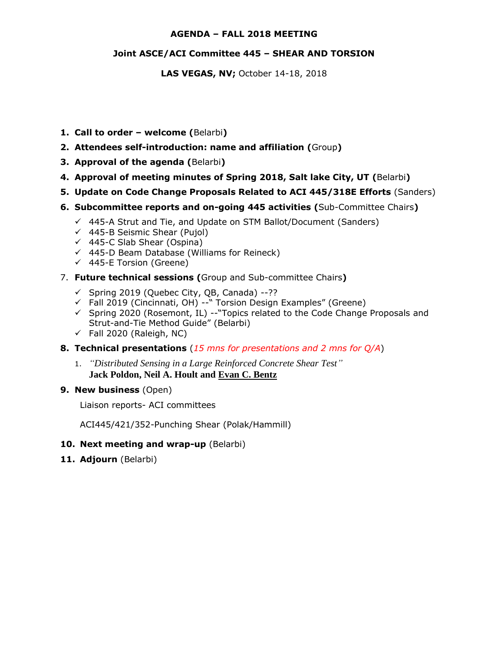#### **AGENDA – FALL 2018 MEETING**

### **Joint ASCE/ACI Committee 445 – SHEAR AND TORSION**

**LAS VEGAS, NV;** October 14-18, 2018

- **1. Call to order – welcome (**Belarbi**)**
- **2. Attendees self-introduction: name and affiliation (**Group**)**
- **3. Approval of the agenda (**Belarbi**)**
- **4. Approval of meeting minutes of Spring 2018, Salt lake City, UT (**Belarbi**)**
- **5. Update on Code Change Proposals Related to ACI 445/318E Efforts** (Sanders)
- **6. Subcommittee reports and on-going 445 activities (**Sub-Committee Chairs**)**
	- $\checkmark$  445-A Strut and Tie, and Update on STM Ballot/Document (Sanders)
	- $\checkmark$  445-B Seismic Shear (Pujol)
	- $\checkmark$  445-C Slab Shear (Ospina)
	- $\checkmark$  445-D Beam Database (Williams for Reineck)
	- $(445-E$  Torsion (Greene)
- 7. **Future technical sessions (**Group and Sub-committee Chairs**)** 
	- $\checkmark$  Spring 2019 (Quebec City, QB, Canada) --??
	- $\checkmark$  Fall 2019 (Cincinnati, OH) --" Torsion Design Examples" (Greene)
	- $\checkmark$  Spring 2020 (Rosemont, IL) --"Topics related to the Code Change Proposals and Strut-and-Tie Method Guide" (Belarbi)
	- $\checkmark$  Fall 2020 (Raleigh, NC)
- **8. Technical presentations** (*15 mns for presentations and 2 mns for Q/A*)
	- 1. *"Distributed Sensing in a Large Reinforced Concrete Shear Test"* **Jack Poldon, Neil A. Hoult and Evan C. Bentz**
- **9. New business** (Open)

Liaison reports- ACI committees

ACI445/421/352-Punching Shear (Polak/Hammill)

- **10. Next meeting and wrap-up** (Belarbi)
- **11. Adjourn** (Belarbi)